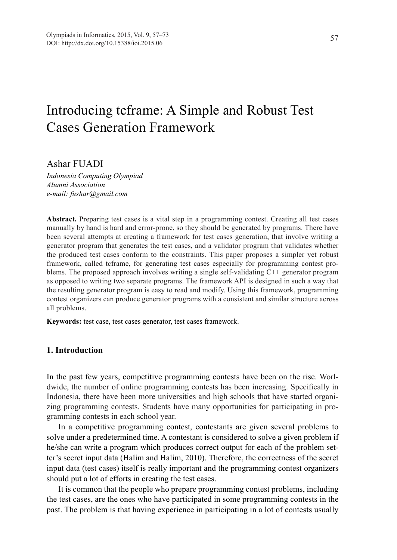# Introducing tcframe: A Simple and Robust Test Cases Generation Framework

# Ashar FUADI

*Indonesia Computing Olympiad Alumni Association e-mail: fushar@gmail.com*

**Abstract.** Preparing test cases is a vital step in a programming contest. Creating all test cases manually by hand is hard and error-prone, so they should be generated by programs. There have been several attempts at creating a framework for test cases generation, that involve writing a generator program that generates the test cases, and a validator program that validates whether the produced test cases conform to the constraints. This paper proposes a simpler yet robust framework, called tcframe, for generating test cases especially for programming contest problems. The proposed approach involves writing a single self-validating C++ generator program as opposed to writing two separate programs. The framework API is designed in such a way that the resulting generator program is easy to read and modify. Using this framework, programming contest organizers can produce generator programs with a consistent and similar structure across all problems.

**Keywords:** test case, test cases generator, test cases framework.

# **1. Introduction**

In the past few years, competitive programming contests have been on the rise. Worldwide, the number of online programming contests has been increasing. Specifically in Indonesia, there have been more universities and high schools that have started organizing programming contests. Students have many opportunities for participating in programming contests in each school year.

In a competitive programming contest, contestants are given several problems to solve under a predetermined time. A contestant is considered to solve a given problem if he/she can write a program which produces correct output for each of the problem setter's secret input data (Halim and Halim, 2010). Therefore, the correctness of the secret input data (test cases) itself is really important and the programming contest organizers should put a lot of efforts in creating the test cases.

It is common that the people who prepare programming contest problems, including the test cases, are the ones who have participated in some programming contests in the past. The problem is that having experience in participating in a lot of contests usually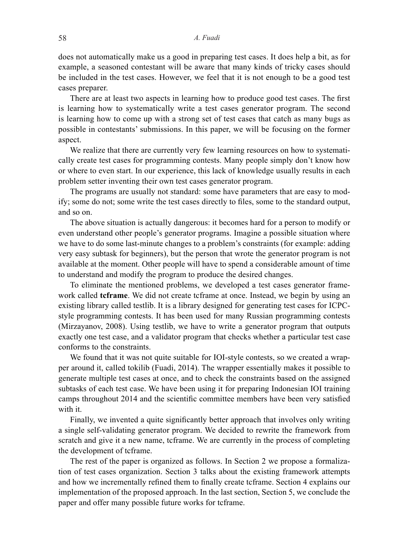does not automatically make us a good in preparing test cases. It does help a bit, as for example, a seasoned contestant will be aware that many kinds of tricky cases should be included in the test cases. However, we feel that it is not enough to be a good test cases preparer.

There are at least two aspects in learning how to produce good test cases. The first is learning how to systematically write a test cases generator program. The second is learning how to come up with a strong set of test cases that catch as many bugs as possible in contestants' submissions. In this paper, we will be focusing on the former aspect.

We realize that there are currently very few learning resources on how to systematically create test cases for programming contests. Many people simply don't know how or where to even start. In our experience, this lack of knowledge usually results in each problem setter inventing their own test cases generator program.

The programs are usually not standard: some have parameters that are easy to modify; some do not; some write the test cases directly to files, some to the standard output, and so on.

The above situation is actually dangerous: it becomes hard for a person to modify or even understand other people's generator programs. Imagine a possible situation where we have to do some last-minute changes to a problem's constraints (for example: adding very easy subtask for beginners), but the person that wrote the generator program is not available at the moment. Other people will have to spend a considerable amount of time to understand and modify the program to produce the desired changes.

To eliminate the mentioned problems, we developed a test cases generator framework called **tcframe**. We did not create tcframe at once. Instead, we begin by using an existing library called testlib. It is a library designed for generating test cases for ICPCstyle programming contests. It has been used for many Russian programming contests (Mirzayanov, 2008). Using testlib, we have to write a generator program that outputs exactly one test case, and a validator program that checks whether a particular test case conforms to the constraints.

We found that it was not quite suitable for IOI-style contests, so we created a wrapper around it, called tokilib (Fuadi, 2014). The wrapper essentially makes it possible to generate multiple test cases at once, and to check the constraints based on the assigned subtasks of each test case. We have been using it for preparing Indonesian IOI training camps throughout 2014 and the scientific committee members have been very satisfied with it.

Finally, we invented a quite significantly better approach that involves only writing a single self-validating generator program. We decided to rewrite the framework from scratch and give it a new name, tcframe. We are currently in the process of completing the development of tcframe.

The rest of the paper is organized as follows. In Section 2 we propose a formalization of test cases organization. Section 3 talks about the existing framework attempts and how we incrementally refined them to finally create tcframe. Section 4 explains our implementation of the proposed approach. In the last section, Section 5, we conclude the paper and offer many possible future works for tcframe.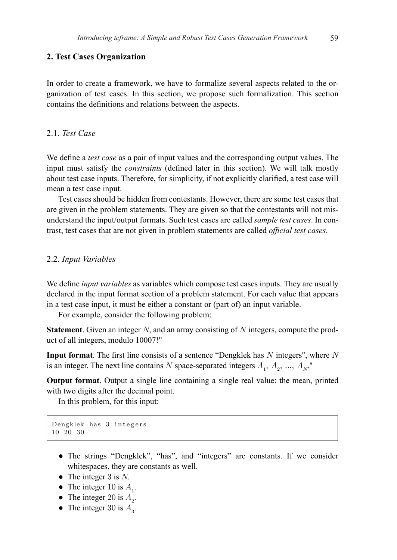## **2. Test Cases Organization**

In order to create a framework, we have to formalize several aspects related to the organization of test cases. In this section, we propose such formalization. This section  $\frac{1}{\sqrt{1-\frac{1}{n}}}\left\{\frac{1}{n}, \frac{1}{n}, \frac{1}{n}, \frac{1}{n}\right\}$  and  $\frac{1}{n}$  formalize sets. organization of the test cases of the test cases.

## 2.1. *Test Case*

We define a *test case* as a pair of input values and the corresponding output values. The Input must satisfy the *constraints* (defined later in this section). We will talk mostly about test case inputs. Therefore, for simplicity, if not explicitly clarified, a test case will mean a test case input.  $m_{\text{tot}}$  is the case inputs. Therefore, for simplicity, if not explicitly clarified, a test case will

Test cases should be hidden from contestants. However, there are some test cases that the states should be hidden from contestants. However, there are some test cases that Test cases should be induct from contestants. Trowever, there are some test cases that are given in the problem statements. They are given so that the contestants will not misunderstand the input/output formats. Such test cases are called *sample test cases*. In contrast, test cases that are not given in problem statements are called *official test cases*.  $\epsilon$  given in the problem statements. They are given so that the contestants will not mis-

## 2.2. *Input Variables*

We define *input variables* as variables which compose test cases inputs. They are usually We define *input variables* as variables which compose test cases inputs. They are declared in the input format section of a problem statement. For each value that appears in a test case input, it must be either a constant or (part of) an input variable.

For example, consider the following problem:

**Statement**. Given an integer  $N$ , and an array consisting of  $N$  integers, compute the product of all integers, modulo 10007!"  $p_{\rm c}$  integers, modulo 10007.

**Input format**. The first line consists of a sentence "Dengklek has  $N$  integers", where  $N$ is an integer. The next line contains N space-separated integers  $A_1, A_2, ..., A_N$ "

**Output format**. Output a single line containing a single real value: the mean, printed with two digits after the decimal point.

In this problem, for this input:  $\frac{1}{1}$  this input:  $\frac{1}{1}$ 

```
Dengklek has 3 integers
10 20 30
```
- The strings "Dengklek", "has", and "integers" are constants. If we consider white whitespaces, they are constants as well.<br>The integer  $3$  is  $N<sub>i</sub>$
- The integer 3 is  $N$ .
- The integer 10 is  $A_1$ .
- The integer 20 is  $A_2$ .
- The integer 30 is  $A_3$ .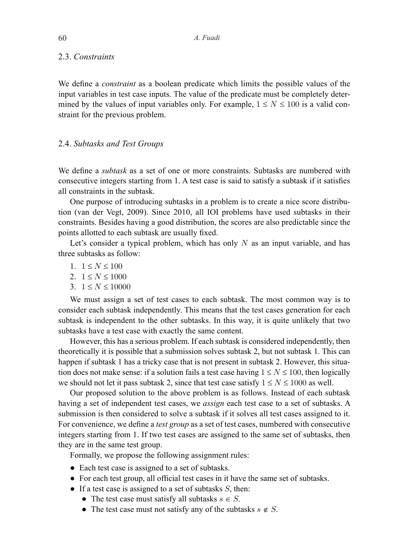#### 2.3. *Constraints*

We define a *constraint* as a boolean predicate which limits the possible values of the input variables in test case inputs. The value of the predicate must be completely determined by the values of input variables only. For example,  $1 \le N \le 100$  is a valid constraint for the previous problem.

### 2.4. *Subtasks and Test Groups*

We define a *subtask* as a set of one or more constraints. Subtasks are numbered with consecutive integers starting from 1. A test case is said to satisfy a subtask if it satisfies all constraints in the subtask.

One purpose of introducing subtasks in a problem is to create a nice score distribution (van der Vegt, 2009). Since 2010, all IOI problems have used subtasks in their constraints. Besides having a good distribution, the scores are also predictable since the points allotted to each subtask are usually fixed.

Let's consider a typical problem, which has only  $N$  as an input variable, and has three subtasks as follow:

- 1.  $1 \leq N \leq 100$
- 2.  $1 \le N \le 1000$
- 3.  $1 \leq N \leq 10000$

We must assign a set of test cases to each subtask. The most common way is to consider each subtask independently. This means that the test cases generation for each subtask is independent to the other subtasks. In this way, it is quite unlikely that two subtasks have a test case with exactly the same content.

However, this has a serious problem. If each subtask is considered independently, then theoretically it is possible that a submission solves subtask 2, but not subtask 1. This can happen if subtask 1 has a tricky case that is not present in subtask 2. However, this situation does not make sense: if a solution fails a test case having  $1 \le N \le 100$ , then logically we should not let it pass subtask 2, since that test case satisfy  $1 \le N \le 1000$  as well.

Our proposed solution to the above problem is as follows. Instead of each subtask having a set of independent test cases, we *assign* each test case to a set of subtasks. A submission is then considered to solve a subtask if it solves all test cases assigned to it. For convenience, we define a *test group* as a set of test cases, numbered with consecutive integers starting from 1. If two test cases are assigned to the same set of subtasks, then they are in the same test group.

Formally, we propose the following assignment rules:

- Each test case is assigned to a set of subtasks.
- For each test group, all official test cases in it have the same set of subtasks.
- If a test case is assigned to a set of subtasks  $S$ , then:
	- The test case must satisfy all subtasks  $s \in S$ .
	- The test case must not satisfy any of the subtasks  $s \notin S$ .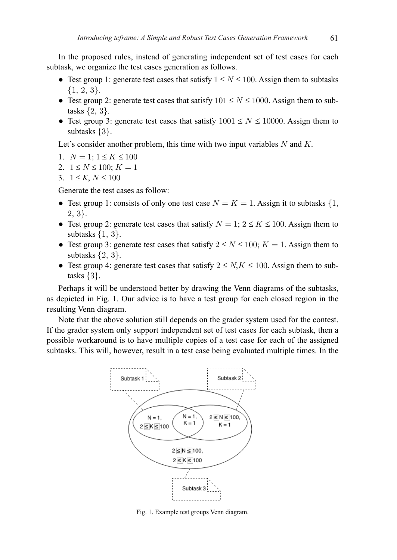In the proposed rules, instead of generating independent set of test cases for each subtask, we organize the test cases generation as follows.

- Test group 1: generate test cases that satisfy  $1 \le N \le 100$ . Assign them to subtasks  $\{1, 2, 3\}.$
- Test group 2: generate test cases that satisfy  $101 \le N \le 1000$ . Assign them to subtasks  $\{2, 3\}$ .
- Test group 3: generate test cases that satisfy  $1001 \leq N \leq 10000$ . Assign them to subtasks  $\{3\}$ .

Let's consider another problem, this time with two input variables  $N$  and  $K$ .

- 1.  $N = 1$ ;  $1 \leq K \leq 100$
- 2.  $1 \leq N \leq 100$ ;  $K = 1$
- 3.  $1 \leq K, N \leq 100$

Generate the test cases as follow:

- Test group 1: consists of only one test case  $N = K = 1$ . Assign it to subtasks  $\{1,$  $2, 3$ .
- Test group 2: generate test cases that satisfy  $N = 1$ ;  $2 \le K \le 100$ . Assign them to subtasks  $\{1, 3\}$ .
- Test group 3: generate test cases that satisfy  $2 \le N \le 100$ ;  $K = 1$ . Assign them to subtasks  $\{2, 3\}$ .
- Test group 4: generate test cases that satisfy  $2 \le N$ ,  $K \le 100$ . Assign them to subtasks  $\{3\}$ .

Perhaps it will be understood better by drawing the Venn diagrams of the subtasks, as depicted in Fig. 1. Our advice is to have a test group for each closed region in the resulting Venn diagram.

Note that the above solution still depends on the grader system used for the contest. If the grader system only support independent set of test cases for each subtask, then a possible workaround is to have multiple copies of a test case for each of the assigned subtasks. This will, however, result in a test case being evaluated multiple times. In the



Fig. 1. Example test groups Venn diagram.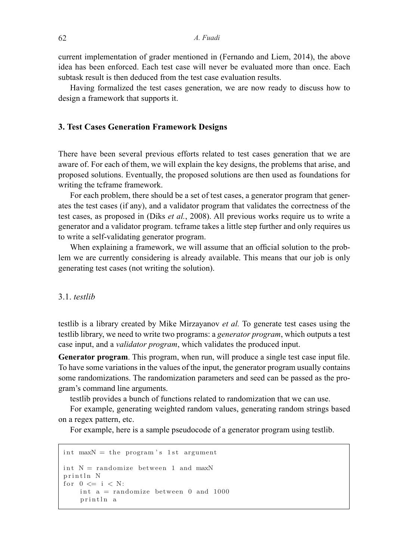current implementation of grader mentioned in (Fernando and Liem, 2014), the above idea has been enforced. Each test case will never be evaluated more than once. Each subtask result is then deduced from the test case evaluation results.

Having formalized the test cases generation, we are now ready to discuss how to design a framework that supports it.

## **3. Test Cases Generation Framework Designs**

There have been several previous efforts related to test cases generation that we are aware of. For each of them, we will explain the key designs, the problems that arise, and proposed solutions. Eventually, the proposed solutions are then used as foundations for writing the tcframe framework.

For each problem, there should be a set of test cases, a generator program that generates the test cases (if any), and a validator program that validates the correctness of the test cases, as proposed in (Diks *et al.*, 2008). All previous works require us to write a generator and a validator program. tcframe takes a little step further and only requires us to write a self-validating generator program.

When explaining a framework, we will assume that an official solution to the problem we are currently considering is already available. This means that our job is only generating test cases (not writing the solution).

## 3.1. *testlib*

testlib is a library created by Mike Mirzayanov *et al.* To generate test cases using the testlib library, we need to write two programs: a *generator program*, which outputs a test case input, and a *validator program*, which validates the produced input.

**Generator program**. This program, when run, will produce a single test case input file. To have some variations in the values of the input, the generator program usually contains some randomizations. The randomization parameters and seed can be passed as the program's command line arguments.

testlib provides a bunch of functions related to randomization that we can use.

For example, generating weighted random values, generating random strings based on a regex pattern, etc.

For example, here is a sample pseudocode of a generator program using testlib.

```
int maxN = the program's 1st argument
int N = randomize between 1 and maxN
println N
for 0 \le i \le N:
    int a = randomize between 0 and 1000
    println a
```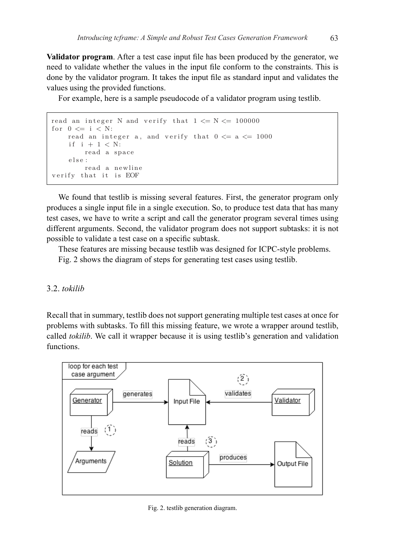**Validator program**. After a test case input file has been produced by the generator, we need to validate whether the values in the input file conform to the constraints. This is done by the validator program. It takes the input file as standard input and validates the values using the provided functions.

For example, here is a sample pseudocode of a validator program using testlib.

```
read an integer N and verify that 1 \le N \le 100000for 0 \le i \le N:
    read an integer a, and verify that 0 \le a \le 1000if i + 1 < N:read a space
    else :
        read a newline
verify that it is EOF
```
We found that testlib is missing several features. First, the generator program We found that testlib is missing several features. First, the generator program only we found that test if is infissing several reatures. This, the generator program only produces a single input file in a single execution. So, to produce test data that has many tources a single input ine in a single execution. So, to produce test uata that has many test cases, we have to write a script and call the generator program several times using the values. different arguments. Second, the validator program does not support subtasks: it is not possible to validate a test case on a specific subtask.

These features are missing because testlib was designed for ICPC-style problems.

Fig. 2 shows the diagram of steps for generating test cases using testlib.

## 3.2. *tokilib*

Recall that in summary, testlib does not support generating multiple test cases at once for problems with subtasks. To fill this missing feature, we wrote a wrapper around testlib, called *tokilib*. We call it wrapper because it is using testlib's generation and validation functions.



Fig. 2. testlib generation diagram.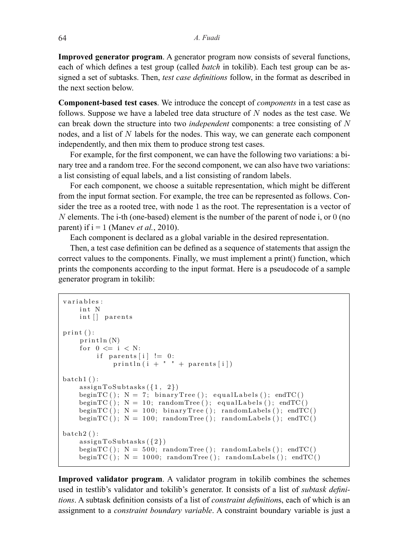**Improved generator program**. A generator program now consists of several functions, each of which defines a test group (called *batch* in tokilib). Each test group can be aseach of which defines a lest group (cancd *butch* in loking). Each lest group can be assigned a set of subtasks. Then, *test case definitions* follow, in the format as described in the next section below. functions, each of subtant distributions and a test function defined a test from the test of the distribution in group can be assigned a set of subtance of subtance of subtance of subtance  $\frac{1}{n}$ 

Component-based test cases. We introduce the concept of *components* in a test case as follows. Suppose we have a labeled tree data structure of *N* nodes as the test case. We can break down the structure into two *independent* components: a tree consisting of N nodes, and a list of N labels for the nodes. This way, we can generate each component independently, and then mix them to produce strong test cases.

For example, for the first component, we can have the following two variations: a binary tree and a random tree. For the second component, we can also have two variations: a list consisting of equal labels, and a list consisting of random labels.

For each component, we choose a suitable representation, which might be different For each component, we choose a suitable representation, which might be different from the input format section. For example, the tree can be represented as follows. Consider the tree as a rooted tree, with node 1 as the root. The representation is a vector of  $N$  elements. The i-th (one-based) element is the number of the parent of node i, or  $0$  (no parent) if  $i = 1$  (Manev *et al.*, 2010). For each component, we choose a suitable representation, which inight be unferent

Each component is declared as a global variable in the desired representation.

Then, a test case definition can be defined as a sequence of statements that assign the correct values to the components. Finally, we must implement a print() function, which prints the components according to the input format. Here is a pseudocode of a sample generator program in tokilib: which prints the components according to the input format. Here is a set of the i

```
variables :
    int N
    int [] parents
print ():
    print(n(N))for 0 \leq i \leq N:
        if parents [i] != 0:
            printhn(i + " " + parents[i])batch1():
    assignToSubtasks ({1 , 2})
    beginTC(); N = 7; binaryTree(); equalLabels(); endTC()
    beginTC(); N = 10; randomTree(); equalLabels(); endTC()
    beginTC(); N = 100; binaryTree(); randomLabels(); endTC()
    beginTC(); N = 100; randomTree(); randomLabels(); endTC()
batch2():
    assignToSubtasks ({2})
    beginTC(); N = 500; randomTree(); randomLabels(); endTC()
    beginTC(); N = 1000; randomTree(); randomLabels(); endTC()
```
**Improved validator program**. A validator program in tokilib combines the **Improved validator program**. A validator program in tokilib combines the schemes used in testlib's validator and tokilib's generator. It consists of a list of *subtask definitions*. A subtask definition consists of a list of *constraint definitions*, each of which is an assignment to a *constraint boundary variable*. A constraint boundary variable is just a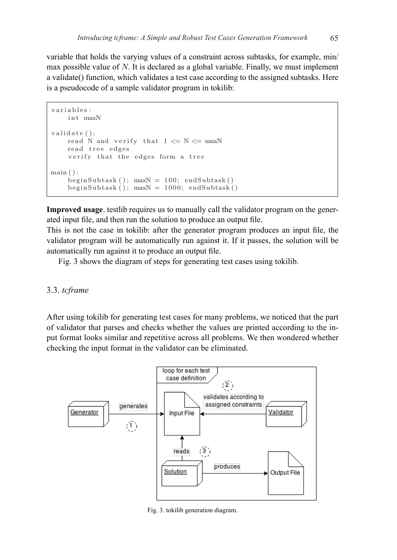variable that holds the varying values of a constraint across subtasks, for example, min/ max possible value of  $N$ . It is declared as a global variable. Finally, we must implement a validate() function, which validates a test case according to the assigned subtasks. Here is a pseudocode of a sample validator program in tokilib: validator program in tokilib:

```
variables :
     int maxN
validate ():
     read N and verify that 1 \leq N \leq \text{maxN}read tree edges
     verify that the edges form a tree
\min ( ):
     begin{bmatrix} \text{beginSubtask} \\ \text{maxN} \end{bmatrix} = 100; \text{endSubtask}begin( ); maxN = 1000; endSubtask()
```
**Improved usage**. testlib requires us to manually call the validator program **Improved usage**. testlib requires us to manually call the validator program on the gener-Improved using the requires as to mandally can the vanitated program on the generated input file, and then run the solution to produce an output file.  $T_{\text{tot}}$  is not the case in the generator produce an output fire.

This is not the case in tokilib: after the generator program produces an input file, the validator program will be automatically run against it. If it passes, the solution will be automatically run against it to produce an output file.

Fig. 3 shows the diagram of steps for generating test cases using tokilib.

#### 3.3. *tcframe*

After using tokilib for generating test cases for many problems, we noticed that the part of validator that parses and checks whether the values are printed according to the input format looks similar and repetitive across all problems. We then wondered whether checking the input format in the validator can be eliminated.



 $\cdot$ g $\cdot$  thas been because it is used the actual code  $\cdot$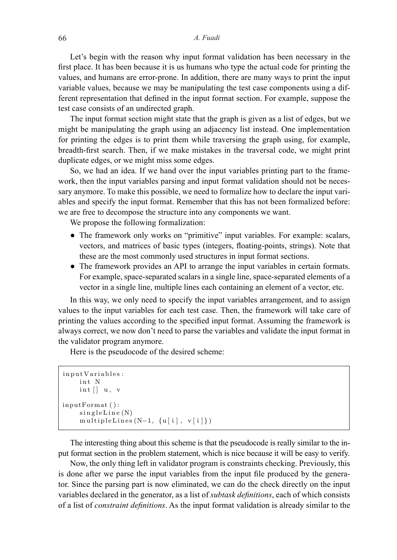#### 66 *A. Fuadi*

Let's begin with the reason why input format validation has been necessary in the first place. It has been because it is us humans who type the actual code for printing the values, and humans are error-prone. In addition, there are many ways to print the input variable values, because we may be manipulating the test case components using a different representation that defined in the input format section. For example, suppose the test case consists of an undirected graph.

The input format section might state that the graph is given as a list of edges, but we might be manipulating the graph using an adjacency list instead. One implementation for printing the edges is to print them while traversing the graph using, for example, breadth-first search. Then, if we make mistakes in the traversal code, we might print breadth-first search. Then, if we make mistakes in the traversal code, we might print duplicate edges, or we might miss some edges.

So, we had an idea. If we hand over the input variables printing part to the framebot, we had an idea. If we hand over the input variables printing part to the hame-<br>work, then the input variables parsing and input format validation should not be necessary anymore. To make this possible, we need to formalize how to declare the input variables and specify the input format. Remember that this has not been formalized before: we are free to decompose the structure into any components we want.  $\sum_{n=1}^{\infty}$ 

We propose the following formalization:

- The framework only works on "primitive" input variables. For example: scalars, vectors, and matrices of basic types (integers, floating-points, strings). Note that these are the most commonly used structures in input format sections.
- The framework provides an API to arrange the input variables in certain formats. For example, space-separated scalars in a single line, space-separated elements of a vector in a single line, multiple lines each containing an element of a vector, etc. of example, space-separated scalars in a single line, space-separated cientents of a

In this way, we only need to specify the input variables arrangement, and to assign values to the input variables for each test case. Then, the framework will take care of printing the values according to the specified input format. Assuming the framework is always correct, we now don't need to parse the variables and validate the input format in the validator program anymore.

Here is the pseudocode of the desired scheme:  $\mathbf{H}$ 

```
inputVariables :
     int N
      int \begin{bmatrix} \cdot & u, & v \end{bmatrix}inputFormat ( ):
      singleLine(N)multipleLines (N-1, \{u[i], v[i]\})
```
The interesting thing about this scheme is that the pseudocode is really similar The interesting thing about this scheme is that the pseudocode is really similar to the inthe interesting time about this senement, which is needed to form shink to the  $\frac{1}{10}$ put format section in the problem statement, which is nice because it will be easy to verify.

Now, the only thing left in validator program is constraints checking. Previously, this is done after we parse the input variables from the input file produced by the generator. Since the parsing part is now eliminated, we can do the check directly on the input variables declared in the generator, as a list of *subtask definitions*, each of which consists of a list of *constraint definitions*. As the input format validation is already similar to the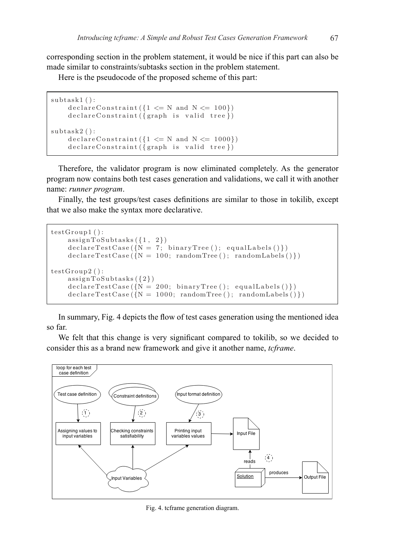corresponding section in the problem statement, it would be nice if this part can also be made similar to constraints/subtasks section in the problem statement.

Here is the pseudocode of the proposed scheme of this part:

```
subtask1 ():
     \text{declace}Constraint ( \{ 1 \le N \text{ and } N \le 100 \})declareConstraint({graph is valid tree})
\texttt{subtask2}():
     \text{declaceConstraint}(\{1 \leq N \text{ and } N \leq 1000\})declareConstraint({graph is valid tree})
     d e cl a r e cl a r e cl a r e \alpha s t \alpha and \alpha and \alpha \alpha ) \alpha ) \alpha
```
assignment of  $\overline{1}$  ,  $\overline{2}$  ,  $\overline{1}$  ,  $\overline{2}$  ,  $\overline{2}$  ,  $\overline{2}$  ,  $\overline{2}$  ,  $\overline{2}$  ,  $\overline{2}$  ,  $\overline{2}$  ,  $\overline{2}$  ,  $\overline{2}$  ,  $\overline{2}$  ,  $\overline{2}$  ,  $\overline{2}$  ,  $\overline{2}$  ,  $\overline{2}$  ,  $\overline{2}$  ,  $\overline{2}$ 

idea so far.

Therefore, the validator program is now eliminated completely. As the generator ator program now contains both test cases generation and validations, we call it with enother program now contains both test cases generation and validations, we call it with another Finally, the test groups/test cases definitions are similar to those in tokilib, name: *runner program*.

Finally, the test groups/test cases definitions are similar to those in tokilib, except that we also make the syntax more declarative. except that we also make the syntax more declarative.

```
\mathtt{testGroup1}\,(\,):\text{assignToSubtasks} \left( \{1 \,, \enspace 2 \} \right)\text{declaceTestCase} \left( \{ \mathrm{N} = \text{ 100}; \text{ randomTree(} \right); \text{ randomLabels()} \} \right)\mathtt{testGroup2}\,(\,):\text{assignToSubtasks} \left( \{2\} \right)\text{declaceTestCase} (\{N = 1000; \text{ randomTree}(\text{)}; \text{ randomLabels}(\text{)}\})\text{ declareTestCase}(\overline{\{N=7\}}\ \text{ binaryTree} (); equalLabels () })
    \text{declaceTestCase}(\{N = 200; \text{ binaryTree}(\text{)}; \text{ equalLables}(\text{)}\})
```
In summary,  $\mathbf{F}^*$  and flow of test cases generation using the mentioned using the mentioned using the mentioned using the mentioned using the mentioned using the mentioned using the mentioned using the mentioned usin In summary, Fig. 4 depicts the flow of test cases generation using the mentioned idea so far.

We felt that this change is very significant compared to tokilib, so we decided to consider this as a brand new framework and give it another name, *tcframe*.



Fig. 4. tcframe generation diagram.  $\mathcal{L}_{\mathcal{C}}$  that the compared to the compared to the compared to to to the so we define the compared to the compared to the compared to the compared to the compared to the compared to the compared to the compared to th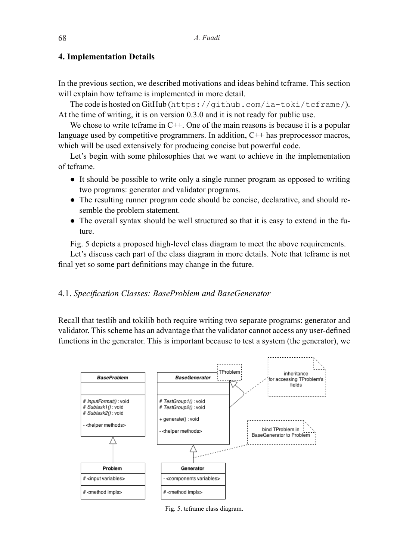### **4. Implementation Details**

In the previous section, we described motivations and ideas behind tcframe. This section will explain how tcframe is implemented in more detail.

The code is hosted on GitHub (https://github.com/ia-toki/tcframe/). At the time of writing, it is on version 0.3.0 and it is not ready for public use.

We chose to write tcframe in  $C^{++}$ . One of the main reasons is because it is a popular language used by competitive programmers. In addition,  $C++$  has preprocessor macros, which will be used extensively for producing concise but powerful code.

Let's begin with some philosophies that we want to achieve in the implementation of tcframe.

- It should be possible to write only a single runner program as opposed to writing two programs: generator and validator programs.
- The resulting runner program code should be concise, declarative, and should resemble the problem statement.
- The overall syntax should be well structured so that it is easy to extend in the future.

Fig. 5 depicts a proposed high-level class diagram to meet the above requirements.

Let's discuss each part of the class diagram in more details. Note that tcframe is not final yet so some part definitions may change in the future.

## 4.1. *Specification Classes: BaseProblem and BaseGenerator*

Recall that testlib and tokilib both require writing two separate programs: generator and validator. This scheme has an advantage that the validator cannot access any user-defined functions in the generator. This is important because to test a system (the generator), we



Fig. 5. tcframe class diagram.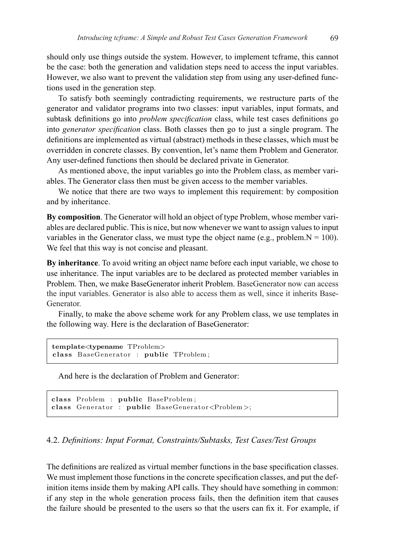should only use things outside the system. However, to implement tcframe, this cannot be the case: both the generation and validation steps need to access the input variables. However, we also want to prevent the validation step from using any user-defined functions used in the generation step.

In the generation step.<br>To satisfy both seemingly contradicting requirements, we restructure parts of the generator and validator programs into two classes: input variables, input formats, and subtask definitions go into *problem specification* class, while test cases definitions go into *generator specification* class. Both classes then go to just a single program. The definitions are implemented as virtual (abstract) methods in these classes, which must be definitions are implemented as virtual (abstract) methods in these classes, which must be overridden in concrete classes. By convention, let's name them Problem and Generator. Any user-defined functions then should be declared private in Generator. to sausry both seemingly contradicting requirements, we restructure parts of the

As mentioned above, the input variables go into the Problem class, as member variables. The Generator class then must be given access to the member variables. As including above, the input variables go int bles. The Generator class then must be given access to the member variables.

We notice that there are two ways to implement this requirement: by composition and by inheritance.

**By composition**. The Generator will hold an object of type Problem, whose member variables are declared public. This is nice, but now whenever we want to assign values to input variables in the Generator class, we must type the object name (e.g., problem. $N = 100$ ). We feel that this way is not concise and pleasant. Ve feel that this way is not concise and pleasant. ty composition. The Generator will hold an object of type Problem, whose member vari-

By inheritance. To avoid writing an object name before each input variable, we chose to use inheritance. The input variables are to be declared as protected member variables in Problem. Then, we make BaseGenerator inherit Problem. BaseGenerator now can access the input variables. Generator is also able to access them as well, since it inherits Base-Generator. Problem. Based on the input variables. Based on the input variables. Generator is also seen also seen also seen  $\mu$  mput variables. Generator is also able to access them as well, since it inherits base-

Finally, to make the above scheme work for any Problem class, we use templates in<br>Finally, to make the above scheme work for any Problem class, we use templates in the following way. Here is the declaration of BaseGenerator: Finally, to make the above scheme work for any I foolent class, we use templates in

 $\mathcal{F}_{\mathcal{A}}$  finally, to make the above scheme work for any Problem class, we use the angle  $\mathcal{F}_{\mathcal{A}}$ 

```
template<typename TProblem>
class BaseGenerator : public TProblem ;
```
**template**<**typename** TProblem>

And here is the declaration of Problem and Generator:

```
class Problem : public BaseProblem;
class Generator : public BaseGenerator<Problem >;
```
#### 2. Definitions: Input Format, Constraints/Subtasks, Test Cases/Test Groups **es/test groups** 4.2. *Definitions: Input Format, Constraints/Subtasks, Test Cases/Test Groups*

tion classes. We must implement those functions in the concrete specification ne definitions are realized as virtual member functions in the base specification classe  $\frac{1}{2}$  function in the whole generation process fails, then the definition item that causes The definitions are realized as virtual member functions in the base specification The definitions are realized as virtual member functions in the base specification classes. classes. We must implement those functions in the concrete specification classes, We must implement those functions in the concrete specification classes, and put the defwe must implement those ranetholis in the concrete specification enasses, and put the definition items inside them by making API calls. They should have something in common: if any step in the whole generation process fails, then the definition item that causes the failure should be presented to the users so that the users can fix it. For example, if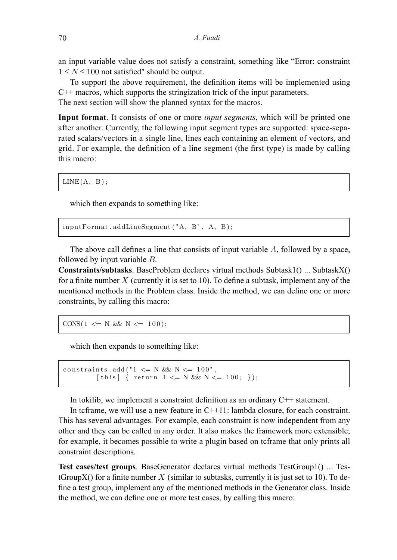an input variable value does not satisfy a constraint, something like "Error: constraint  $1 \leq N \leq 100$  not satisfied" should be output.

To support the above requirement, the definition items will be implemented using C++ macros, which supports the stringization trick of the input parameters. The next section will show the planned syntax for the macros.

**Input format**. It consists of one or more *input segments*, which will be printed one after another. Currently, the following input segment types are supported: space-separated scalars/vectors in a single line, lines each containing an element of vectors, and grid. For example, the definition of a line segment (the first type) is made by calling this macro:  $\alpha$  vectors, and grid  $\alpha$  is a line sequence of a line segment (the first type) of a line segment (the first type) of a line segment (the first type) of a line sequence of  $\alpha$  $s_{\text{max}}$ space-separated scalars in a single line, line  $s_{\text{max}}$ **In In**  $\alpha$  is consistent of or more *in*  $\alpha$  in put segments, which will be printed with will be printed with  $\alpha$  in  $\alpha$  in  $\alpha$  in  $\alpha$  in  $\alpha$  in  $\alpha$  in  $\alpha$  in  $\alpha$  in  $\alpha$  in  $\alpha$  in  $\alpha$  in  $\alpha$  in  $\alpha$  in  $\alpha$ 

of vectors, and grid  $q$  and grid. For example, the definition of a line segment (the first type)  $\frac{1}{\sqrt{2}}$ 

space-separated scalars/vectors in a single line, lines each containing an element

**Input format**. It consists of one or more *input segments*, which will be printed

 $LINE(A, B);$  $SINF(A \mid R)$ . of vectors, and grid. For example, the definition of a line segment (the first type) of a line segment (the first type) of a line segment (the first type) of a line segment (the first type) of a line segment (the first ty

which then expands to something like:  $\mathcal{I}$  made by calling this matrix matrix  $\mathcal{I}$ 

space, followed by input variable B.

```
inputFormat . addLineSegment ("A, B", A, B);
```
The above call defines a line that consists of input variable  $A$ , followed by a space, followed by input variable  $B$ . The above call defines a line that consists of input variable  $A$ , followed by a space,

onstraints/subtasks. BaseProblem declares virtual methods Subtask1() ... SubtaskX() Constraints/subtases. Baser robiem declares virtual methods Subtase  $Y$  () ... Subtase  $X$  ( $Y$ ) for a finite number  $X$  (currently it is set to 10). To define a subtase, implement any of the mentioned methods in the Problem class. Inside the method, we can define one or more **Constraints/subtasks**. BaseProblem declares virtual methods Subtask1() ... SubtaskX()  $C = \frac{1}{2}$ constraints, by calling this macro:  $\alpha$  a limite number  $\lambda$  (currently it is set

implement any of the mentioned methods in the Problem class. Inside the method,

 $\text{CONS}(1 \leq N \&\& N \leq 100);$ 

which then expands to something like:

```
{\tt constraints \;.\;} {\rm add}\left(\begin{smallmatrix} 1 & & & \\ & 1 & & \\ & & \end{smallmatrix}\right) \; \subset \; N \;\; \&\& \;\; N \; \subset \; 100\text{\textendash} \; ,[this] { return 1 \le N & N \le 100; });
constraint. This has seen advantages. For example, each constraint is now that the constraint is now that the constraint is now that the constraint is now that the constraint is now that the constraint is now that the cons
```
 $\overline{\phantom{a}}$  (  $\overline{\phantom{a}}$  )  $\overline{\phantom{a}}$  (  $\overline{\phantom{a}}$  )  $\overline{\phantom{a}}$  )  $\overline{\phantom{a}}$  (  $\overline{\phantom{a}}$  )  $\overline{\phantom{a}}$  )  $\overline{\phantom{a}}$  (  $\overline{\phantom{a}}$  )  $\overline{\phantom{a}}$  (  $\overline{\phantom{a}}$  )  $\overline{\phantom{a}}$  (  $\overline{\phantom{a}}$  )  $\overline{\phantom{a}}$  (  $\overline{\phantom{a}}$ 

In tokilib, we implement a constraint definition as an ordinary  $C++$  statement. In tokilib, we implement a constraint definition as an ordinary  $C++$  statement. In tokilib, we implement a constraint definition as an ordinary  $C^{++}$  statement.

ment. In tegral we will use a new feature in  $\mathcal{C}_+$  in  $\mathcal{C}_+$  in  $\mathcal{C}_+$ 

the framework more extensible; for example, it becomes possible to write a plugin

ment. In tegrame, we will use a new feature in  $\mathcal{C}_+$  in  $\mathcal{C}_+$  in  $\mathcal{C}_+$  in  $\mathcal{C}_+$ 

In teframe, we will use a new feature in  $C++11$ : lambda closure, for each constraint. This has several advantages. For example, each constraint is now independent from any other and they can be called in any order. It also makes the framework more extensible; for example, it becomes possible to write a plugin based on teframe that only prints all constraint descriptions.

rate to 1<br>Est to 2000 feet groups, BeecConomics, declared with all methods  $T_c$  (formal). Too  $i$  to the case of  $i$  of  $j$  case of  $i$  case of  $i$  case of  $i$  cases of  $i$  cases of  $i$  cases of  $j$  cases of  $j$  cases of  $j$  cases of  $j$  cases of  $j$  cases of  $j$  cases of  $j$  cases of  $j$  cases of  $j$  cases of  $j$  $\frac{1}{2}$  are not address one or more text cases by calling  $\theta$  we can define one of more test cases, by canning this in the method, we can define one or more test cases, by calling this macro: Test cases/test groups. BaseGenerator declares virtual methods TestGroup1() ... Testhe Generator class. Inside the method, we can define a test group, inplement any of the mentioned methods in the Generator class. Inside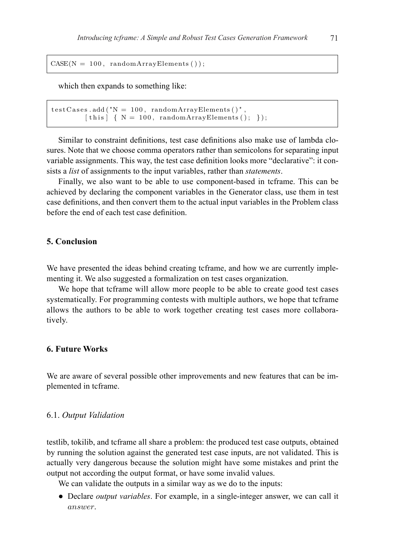$CASE(N = 100, randomArrayElements ());$ 

which then expands to something like: which then expands to something like:

```
\mathcal{L} \left( \mathcal{L} \right) and \mathcal{L} \left( \mathcal{L} \right) , \mathcal{L} \left( \mathcal{L} \right) ; \mathcal{L} \left( \mathcal{L} \right) ; \mathcal{L} \left( \mathcal{L} \right) ; \mathcal{L} \left( \mathcal{L} \right) ; \mathcal{L} \left( \mathcal{L} \right) ; \mathcal{L} \left( \mathcal{L} \right) ; \mathcal{L} \left( \mathcal{L} \right) ; \mathcal{L} \left( \math[this] \{ N = 100, \text{ randomArrayElements}(); \};
test{\rm Cases} . add ("{\rm N} = 100 , {\rm randomArrayElements} ()",
```
Similar to constraint definitions, test case definitions also make use of lambda closhimat to constraint definitions, test case definitions also make use of famoda clo-<br>ures. Note that we choose comma operators rather than semicolons for separating input variable assignments. This way, the test case definition looks more "declarative": it consists a *list* of assignments to the input variables, rather than *statements*. sures. Note that we choose comma operators rather than semicolons for separating input

closures. Note that we choose comma operators rather than semicolons for sepa-

Finally, we also want to be able to use component-based in tcframe. This can be achieved by declaring the component variables in the Generator class, use them in test case definitions, and then convert them to the actual input variables in the Problem class before the end of each test case definition.

## **5. Conclusion**

We have presented the ideas behind creating tcframe, and how we are currently implementing it. We also suggested a formalization on test cases organization.

We hope that tcframe will allow more people to be able to create good test cases systematically. For programming contests with multiple authors, we hope that tcframe allows the authors to be able to work together creating test cases more collaboratively.

# **6. Future Works**

We are aware of several possible other improvements and new features that can be implemented in tcframe.

#### 6.1. *Output Validation*

testlib, tokilib, and tcframe all share a problem: the produced test case outputs, obtained by running the solution against the generated test case inputs, are not validated. This is actually very dangerous because the solution might have some mistakes and print the output not according the output format, or have some invalid values.

We can validate the outputs in a similar way as we do to the inputs:

● Declare *output variables*. For example, in a single-integer answer, we can call it answer.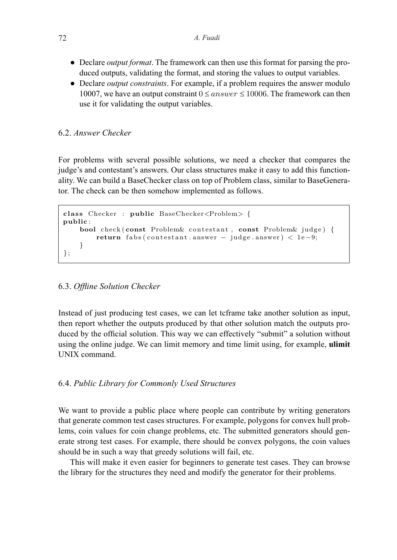- Declare *output format*. The framework can then use this format for parsing the produced outputs, validating the format, and storing the values to output variables.
- Declare *output constraints*. For example, if a problem requires the answer modulo 10007, we have an output constraint  $0 \leq answer \leq 10006$ . The framework can then use it for validating the output variables.

#### 6.2. *Answer Checker* framework can then use it for validating the output variables.

For problems with several possible solutions, we need a checker that compares the judge's and contestant's answers. Our class structures make it easy to add this functionality. We can build a BaseChecker class on top of Problem class, similar to BaseGenerator. The check can be then somehow implemented as follows. **6.2 Answer checker** to BaseGenerator. The check can be then somehow implemented as follows.

```
class Checker : public BaseChecker<Problem> {
public :
    bool check (const Problem& contestant, const Problem& judge) {
        return fabs ( contestant . answer − judge . answer ) < 1e −9;
    }
} ;
```
# 15 6.3. *Offline Solution Checker*

Instead of just producing test cases, we can let tcframe take another solution as input, then report whether the outputs produced by that other solution match the outputs produced by the official solution. This way we can effectively "submit" a solution without using the online judge. We can limit memory and time limit using, for example, **ulimit**  UNIX command.

# 6.4. *Public Library for Commonly Used Structures*

We want to provide a public place where people can contribute by writing generators that generate common test cases structures. For example, polygons for convex hull problems, coin values for coin change problems, etc. The submitted generators should generate strong test cases. For example, there should be convex polygons, the coin values should be in such a way that greedy solutions will fail, etc.

This will make it even easier for beginners to generate test cases. They can browse the library for the structures they need and modify the generator for their problems.